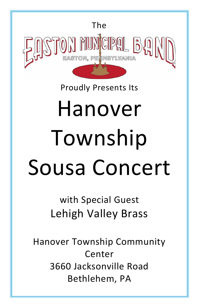

# Proudly Presents Its

# Hanover Township Sousa Concert

with Special Guest Lehigh Valley Brass

Hanover Township Community Center 3660 Jacksonville Road Bethlehem, PA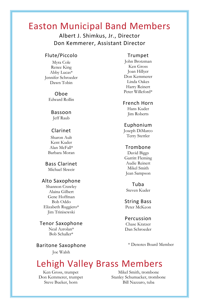# Easton Municipal Band Members

Albert J. Shimkus, Jr., Director Don Kemmerer, Assistant Director

#### Flute/Piccolo

Myra Cole Renee King Abby Lucas\* Jennifer Schroeder Dawn Tobin

> Oboe Edward Rollin

Bassoon Jeff Raub

#### Clarinet

Sharon Ault Kent Kuder Alan McFall\* Barbara Moran

Bass Clarinet Michael Skweir

#### Alto Saxophone

Shannon Crawley Alaina Gilbert Gene Hoffman Bob Oddo Elizabeth Ruggiero\* Jim Trinisewski

Tenor Saxophone Neal Azrolan\* Bob Schaller\*

Baritone Saxophone Joe Walsh

#### Trumpet

John Brotzman Ken Gross Joan Hillyer Don Kemmerer Linda Oakes Harry Reinert Peter Willeford\*

French Horn

Hans Kuder Jim Roberts

#### Euphonium

Joseph DiMarco Terry Stettler

#### Trombone

David Biggs Garritt Fleming Audie Reinert Mikel Smith Jean Sampson

Tuba Steven Kuder

String Bass Peter McKeon

#### Percussion

Chase Kratzer Dan Schroeder

\* Denotes Board Member

# Lehigh Valley Brass Members

Ken Gross, trumpet Don Kemmerer, trumpet Steve Bueker, horn

Mikel Smith, trombone Stanley Schumacker, trombone Bill Nazzaro, tuba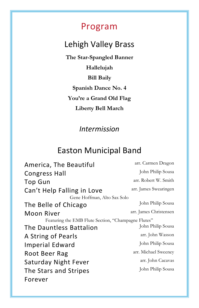## Program

# Lehigh Valley Brass

**The Star-Spangled Banner Hallelujah Bill Baily Spanish Dance No. 4 You're a Grand Old Flag Liberty Bell March**

## *Intermission*

## Easton Municipal Band

America, The Beautiful arr. Carmen Dragon Congress Hall John Philip Sousa Top Gun arr. Robert W. Smith Can't Help Falling in Love arr. James Swearingen Gene Hoffman, Alto Sax Solo The Belle of Chicago John Philip Sousa Moon River arr. James Christensen Featuring the EMB Flute Section, "Champagne Flutes" The Dauntless Battalion John Philip Sousa A String of Pearls arr. John Wasson Imperial Edward John Philip Sousa Root Beer Rag arr. Michael Sweeney Saturday Night Fever arr. John Cacavas The Stars and Stripes Forever John Philip Sousa